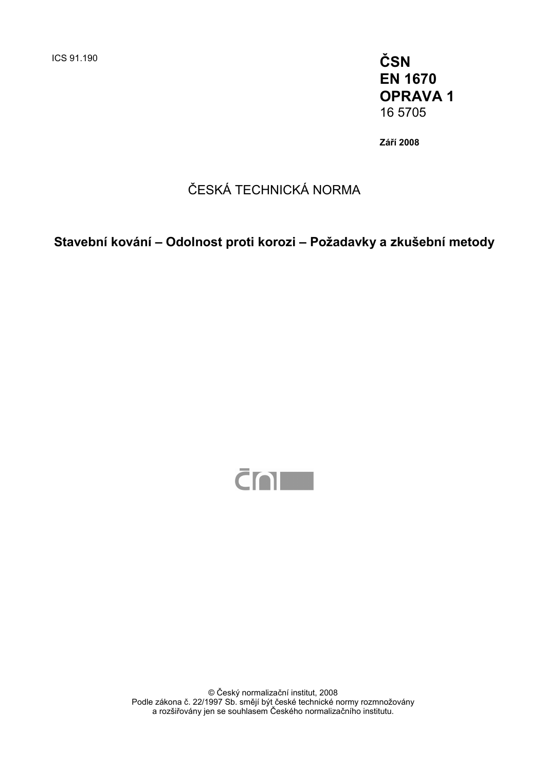ICS 91.190 **ýSN EN 1670 OPRAVA 1** 16 5705

**ZáĜí 2008** 

## ČESKÁ TECHNICKÁ NORMA

**Stavební kování – Odolnost proti korozi – Požadavky a zkušební metody**



© Český normalizační institut, 2008 Podle zákona č. 22/1997 Sb. smějí být české technické normy rozmnožovány a rozšiřovány jen se souhlasem Českého normalizačního institutu.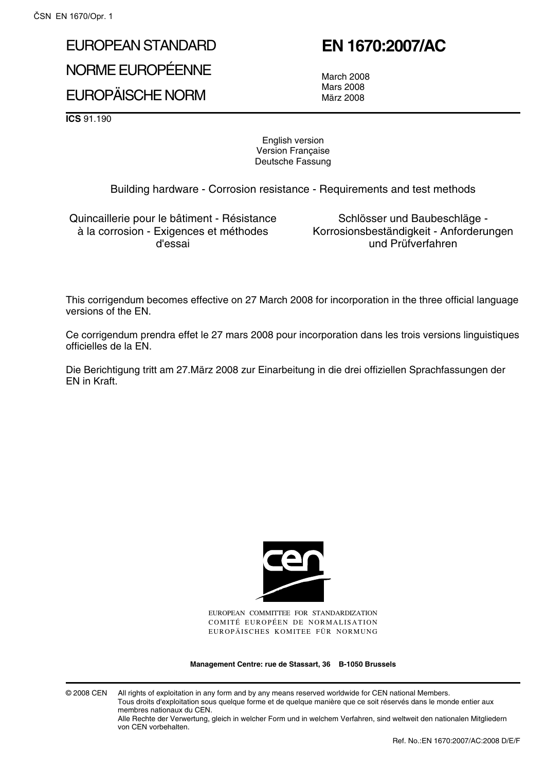# EUROPEAN STANDARD NORME EUROPÉENNE EUROPÄISCHE NORM

## **EN 1670:2007/AC**

March 2008 Mars 2008 März 2008

**ICS** 91.190

English version Version Française Deutsche Fassung

Building hardware - Corrosion resistance - Requirements and test methods

Quincaillerie pour le bâtiment - Résistance à la corrosion - Exigences et méthodes d'essai

Schlösser und Baubeschläge - Korrosionsbeständigkeit - Anforderungen und Prüfverfahren

This corrigendum becomes effective on 27 March 2008 for incorporation in the three official language versions of the EN.

Ce corrigendum prendra effet le 27 mars 2008 pour incorporation dans les trois versions linguistiques officielles de la EN.

Die Berichtigung tritt am 27.März 2008 zur Einarbeitung in die drei offiziellen Sprachfassungen der EN in Kraft.



EUROPEAN COMMITTEE FOR STANDARDIZATION COMITÉ EUROPÉEN DE NORMALISATION EUROPÄISCHES KOMITEE FÜR NORMUNG

**Management Centre: rue de Stassart, 36 B-1050 Brussels**

© 2008 CEN All rights of exploitation in any form and by any means reserved worldwide for CEN national Members. Tous droits d'exploitation sous quelque forme et de quelque manière que ce soit réservés dans le monde entier aux membres nationaux du CEN.

Alle Rechte der Verwertung, gleich in welcher Form und in welchem Verfahren, sind weltweit den nationalen Mitgliedern von CEN vorbehalten.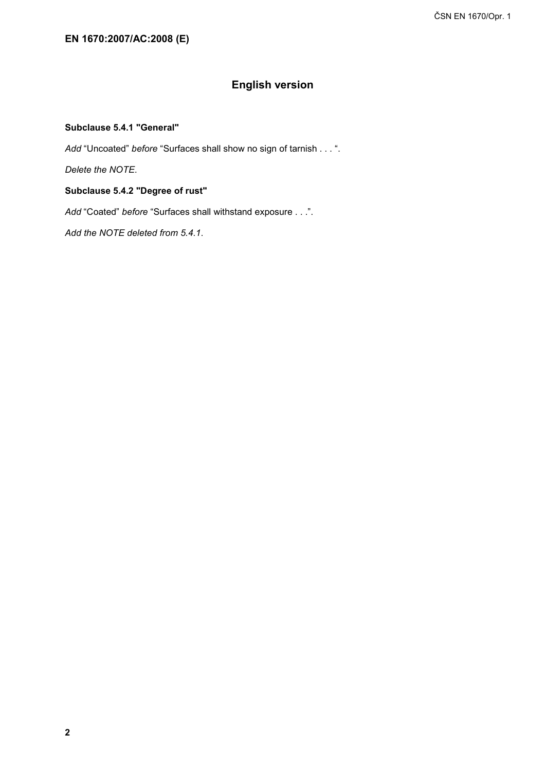### **English version**

### **Subclause 5.4.1 "General"**

*Add* "Uncoated" *before* "Surfaces shall show no sign of tarnish . . . ".

*Delete the NOTE*.

#### **Subclause 5.4.2 "Degree of rust"**

*Add* "Coated" *before* "Surfaces shall withstand exposure . . .".

*Add the NOTE deleted from 5.4.1*.